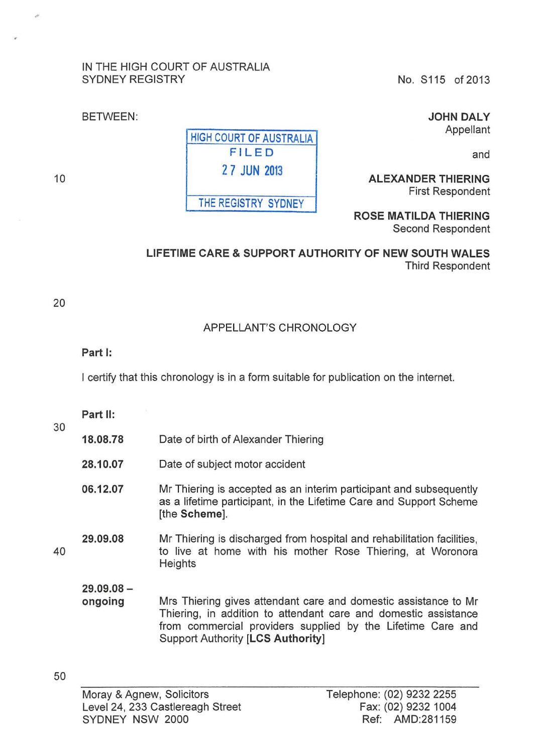### IN THE HIGH COURT OF AUSTRALIA SYDNEY REGISTRY No. S115 of 2013

JOHN DALY Appellant

and

ALEXANDER THIERING First Respondent

ROSE MATILDA THIERING Second Respondent

LIFETIME CARE & SUPPORT AUTHORITY OF NEW SOUTH WALES Third Respondent

## APPELLANT'S CHRONOLOGY

#### Part 1:

BETWEEN:

I certify that this chronology is in a form suitable for publication on the internet.

Part II:

| 18.08.78 |                                     |  |
|----------|-------------------------------------|--|
|          | Date of birth of Alexander Thiering |  |

- 28.10.07 Date of subject motor accident
- 06.12.07 Mr Thiering is accepted as an interim participant and subsequently as a lifetime participant, in the Lifetime Care and Support Scheme [the Scheme].

#### 40 29.09.08 Mr Thiering is discharged from hospital and rehabilitation facilities, to live at home with his mother Rose Thiering, at Woronora **Heights**

29.09.08 ongoing

Mrs Thiering gives attendant care and domestic assistance to Mr Thiering, in addition to attendant care and domestic assistance from commercial providers supplied by the Lifetime Care and Support Authority [LCS Authority]

HIGH COURT OF AUSTRALIA FILED 2 7 JUN 2013 THE REGISTRY SYDNEY

10

20

30